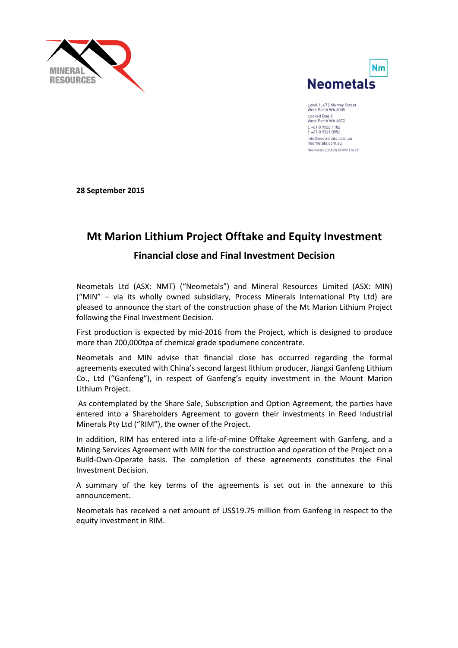



Level 1, 672 Murray Street<br>West Perth WA 6005 Locked Bag 8<br>West Perth WA 6872 t. +61 8 9322 1182<br>f. +61 8 9321 0556 info@neometals.com.au neometals.com.au Neometals Ltd ABN 89 099 116 631

**28 September 2015**

# **Mt Marion Lithium Project Offtake and Equity Investment**

## **Financial close and Final Investment Decision**

Neometals Ltd (ASX: NMT) ("Neometals") and Mineral Resources Limited (ASX: MIN) ("MIN" – via its wholly owned subsidiary, Process Minerals International Pty Ltd) are pleased to announce the start of the construction phase of the Mt Marion Lithium Project following the Final Investment Decision.

First production is expected by mid-2016 from the Project, which is designed to produce more than 200,000tpa of chemical grade spodumene concentrate.

Neometals and MIN advise that financial close has occurred regarding the formal agreements executed with China's second largest lithium producer, Jiangxi Ganfeng Lithium Co., Ltd ("Ganfeng"), in respect of Ganfeng's equity investment in the Mount Marion Lithium Project.

As contemplated by the Share Sale, Subscription and Option Agreement, the parties have entered into a Shareholders Agreement to govern their investments in Reed Industrial Minerals Pty Ltd ("RIM"), the owner of the Project.

In addition, RIM has entered into a life-of-mine Offtake Agreement with Ganfeng, and a Mining Services Agreement with MIN for the construction and operation of the Project on a Build-Own-Operate basis. The completion of these agreements constitutes the Final Investment Decision.

A summary of the key terms of the agreements is set out in the annexure to this announcement.

Neometals has received a net amount of US\$19.75 million from Ganfeng in respect to the equity investment in RIM.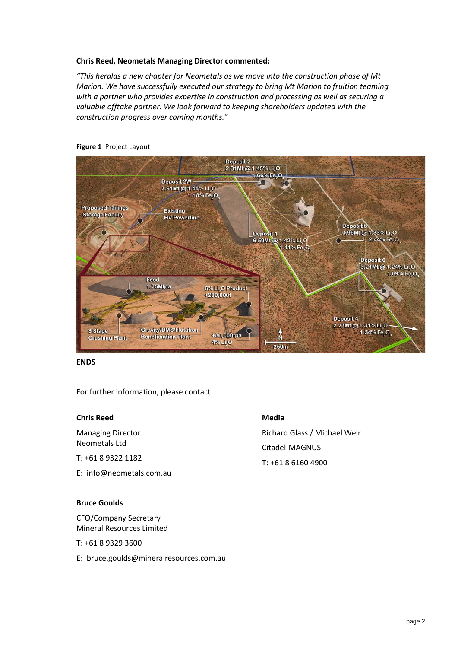## **Chris Reed, Neometals Managing Director commented:**

*"This heralds a new chapter for Neometals as we move into the construction phase of Mt Marion. We have successfully executed our strategy to bring Mt Marion to fruition teaming with a partner who provides expertise in construction and processing as well as securing a valuable offtake partner. We look forward to keeping shareholders updated with the construction progress over coming months."* 



#### **Figure 1** Project Layout

#### **ENDS**

For further information, please contact:

#### **Chris Reed**

Managing Director Neometals Ltd

- T: +61 8 9322 1182
- E: info@neometals.com.au

## **Bruce Goulds**

CFO/Company Secretary Mineral Resources Limited

- T: +61 8 9329 3600
- E: bruce.goulds@mineralresources.com.au

## **Media**

Richard Glass / Michael Weir Citadel-MAGNUS T: +61 8 6160 4900